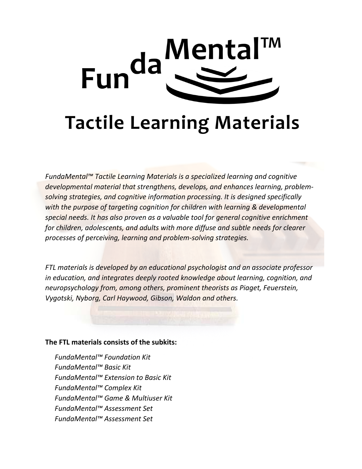

# **Tactile Learning Materials**

*FundaMental™ Tactile Learning Materials is a specialized learning and cognitive developmental material that strengthens, develops, and enhances learning, problemsolving strategies, and cognitive information processing. It is designed specifically with the purpose of targeting cognition for children with learning & developmental special needs. It has also proven as a valuable tool for general cognitive enrichment for children, adolescents, and adults with more diffuse and subtle needs for clearer processes of perceiving, learning and problem-solving strategies.* 

*FTL materials is developed by an educational psychologist and an associate professor in education, and integrates deeply rooted knowledge about learning, cognition, and neuropsychology from, among others, prominent theorists as Piaget, Feuerstein, Vygotski, Nyborg, Carl Haywood, Gibson, Waldon and others.* 

## **The FTL materials consists of the subkits:**

*FundaMental™ Foundation Kit FundaMental™ Basic Kit FundaMental™ Extension to Basic Kit FundaMental™ Complex Kit FundaMental™ Game & Multiuser Kit FundaMental™ Assessment Set FundaMental™ Assessment Set*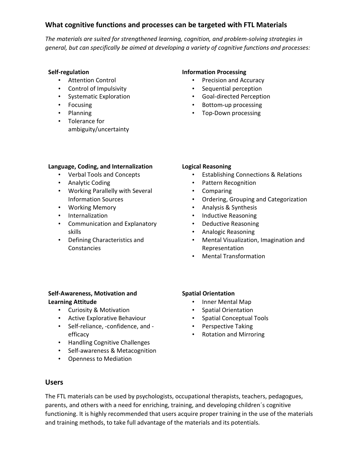## **What cognitive functions and processes can be targeted with FTL Materials**

*The materials are suited for strengthened learning, cognition, and problem-solving strategies in general, but can specifically be aimed at developing a variety of cognitive functions and processes:* 

## **Self-regulation**

- Attention Control
- Control of Impulsivity
- Systematic Exploration
- Focusing
- Planning
- Tolerance for ambiguity/uncertainty

## **Information Processing**

- Precision and Accuracy
- Sequential perception
- Goal-directed Perception
- Bottom-up processing
- Top-Down processing

## **Language, Coding, and Internalization**

- Verbal Tools and Concepts
- Analytic Coding
- Working Parallelly with Several Information Sources
- Working Memory
- **Internalization**
- Communication and Explanatory skills
- Defining Characteristics and Constancies

## **Logical Reasoning**

- Establishing Connections & Relations
- Pattern Recognition
- Comparing
- Ordering, Grouping and Categorization
- Analysis & Synthesis
- Inductive Reasoning
- Deductive Reasoning
- Analogic Reasoning
- Mental Visualization, Imagination and Representation
- Mental Transformation

## **Self-Awareness, Motivation and Learning Attitude**

- Curiosity & Motivation
- Active Explorative Behaviour
- Self-reliance, -confidence, and efficacy
- Handling Cognitive Challenges
- Self-awareness & Metacognition
- Openness to Mediation

## **Spatial Orientation**

- Inner Mental Map
- Spatial Orientation
- Spatial Conceptual Tools
- Perspective Taking
- Rotation and Mirroring

## **Users**

The FTL materials can be used by psychologists, occupational therapists, teachers, pedagogues, parents, and others with a need for enriching, training, and developing children´s cognitive functioning. It is highly recommended that users acquire proper training in the use of the materials and training methods, to take full advantage of the materials and its potentials.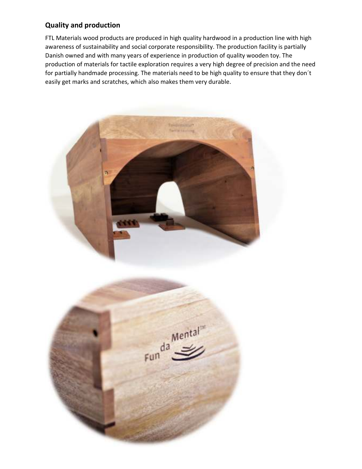## **Quality and production**

FTL Materials wood products are produced in high quality hardwood in a production line with high awareness of sustainability and social corporate responsibility. The production facility is partially Danish owned and with many years of experience in production of quality wooden toy. The production of materials for tactile exploration requires a very high degree of precision and the need for partially handmade processing. The materials need to be high quality to ensure that they don´t easily get marks and scratches, which also makes them very durable.



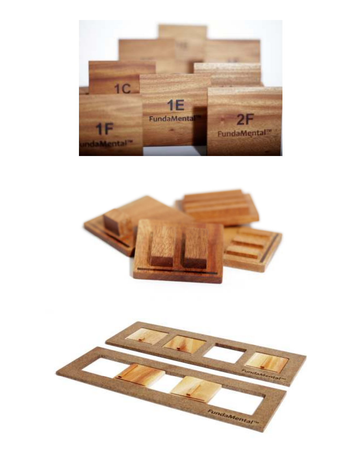



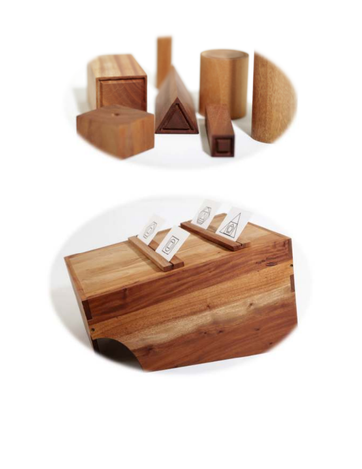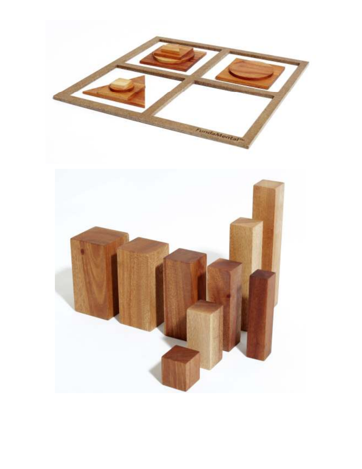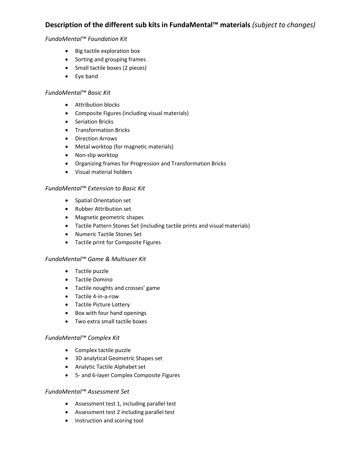## **Description of the different sub kits in FundaMental™ materials** *(subject to changes)*

## *FundaMental™ Foundation Kit*

- Big tactile exploration box
- Sorting and grouping frames
- Small tactile boxes (2 pieces)
- Eye band

### *FundaMental™ Basic Kit*

- Attribution blocks
- Composite Figures (including visual materials)
- Seriation Bricks
- Transformation Bricks
- Direction Arrows
- Metal worktop (for magnetic materials)
- Non-slip worktop
- Organizing frames for Progression and Transformation Bricks
- Visual material holders

### *FundaMental™ Extension to Basic Kit*

- Spatial Orientation set
- Rubber Attribution set
- Magnetic geometric shapes
- Tactile Pattern Stones Set (including tactile prints and visual materials)
- Numeric Tactile Stones Set
- Tactile print for Composite Figures

#### *FundaMental™ Game & Multiuser Kit*

- Tactile puzzle
- Tactile Domino
- Tactile noughts and crosses' game
- Tactile 4-in-a-row
- Tactile Picture Lottery
- Box with four hand openings
- Two extra small tactile boxes

#### *FundaMental™ Complex Kit*

- Complex tactile puzzle
- 3D analytical Geometric Shapes set
- Analytic Tactile Alphabet set
- 5- and 6-layer Complex Composite Figures

#### *FundaMental™ Assessment Set*

- Assessment test 1, including parallel test
- Assessment test 2 including parallel test
- Instruction and scoring tool